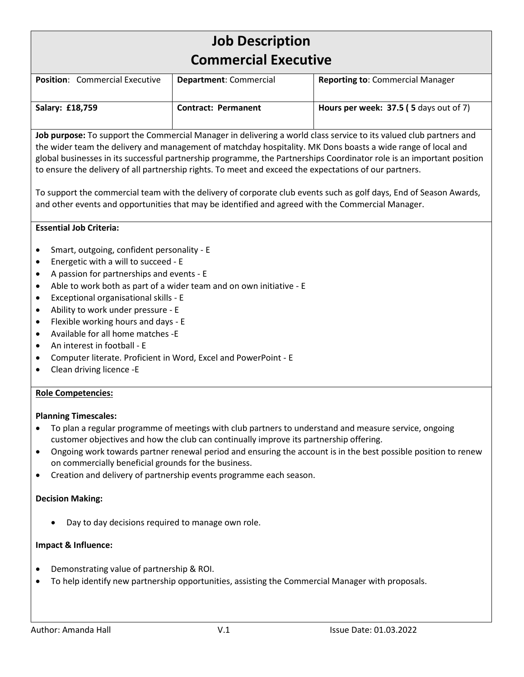# **Job Description Commercial Executive**

| <b>Position:</b> Commercial Executive | <b>Department: Commercial</b> | <b>Reporting to: Commercial Manager</b>       |
|---------------------------------------|-------------------------------|-----------------------------------------------|
| Salary: £18,759                       | <b>Contract: Permanent</b>    | <b>Hours per week: 37.5 (5 days out of 7)</b> |

**Job purpose:** To support the Commercial Manager in delivering a world class service to its valued club partners and the wider team the delivery and management of matchday hospitality. MK Dons boasts a wide range of local and global businesses in its successful partnership programme, the Partnerships Coordinator role is an important position to ensure the delivery of all partnership rights. To meet and exceed the expectations of our partners.

To support the commercial team with the delivery of corporate club events such as golf days, End of Season Awards, and other events and opportunities that may be identified and agreed with the Commercial Manager.

# **Essential Job Criteria:**

- Smart, outgoing, confident personality E
- Energetic with a will to succeed E
- A passion for partnerships and events E
- Able to work both as part of a wider team and on own initiative E
- Exceptional organisational skills E
- Ability to work under pressure E
- Flexible working hours and days E
- Available for all home matches -E
- An interest in football E
- Computer literate. Proficient in Word, Excel and PowerPoint E
- Clean driving licence -E

#### **Role Competencies:**

#### **Planning Timescales:**

- To plan a regular programme of meetings with club partners to understand and measure service, ongoing customer objectives and how the club can continually improve its partnership offering.
- Ongoing work towards partner renewal period and ensuring the account is in the best possible position to renew on commercially beneficial grounds for the business.
- Creation and delivery of partnership events programme each season.

#### **Decision Making:**

• Day to day decisions required to manage own role.

#### **Impact & Influence:**

- Demonstrating value of partnership & ROI.
- To help identify new partnership opportunities, assisting the Commercial Manager with proposals.